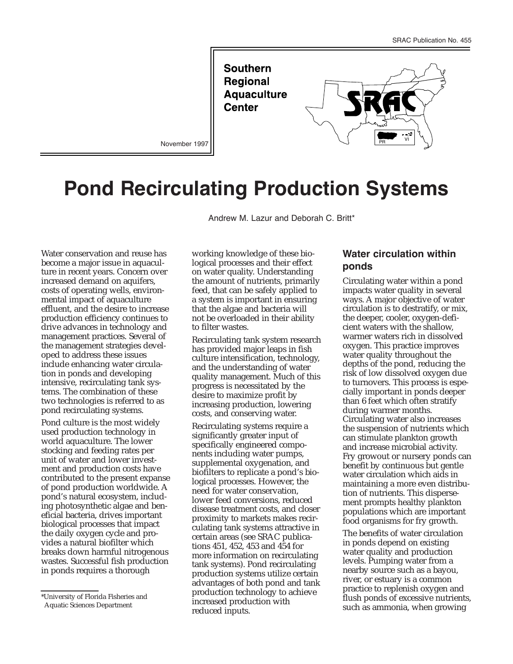**Southern Regional Aquaculture Center** 



November 1997

# **Pond Recirculating Production Systems**

Andrew M. Lazur and Deborah C. Britt\*

Water conservation and reuse has become a major issue in aquaculture in recent years. Concern over increased demand on aquifers, costs of operating wells, environmental impact of aquaculture effluent, and the desire to increase production efficiency continues to drive advances in technology and management practices. Several of the management strategies developed to address these issues include enhancing water circulation in ponds and developing intensive, recirculating tank systems. The combination of these two technologies is referred to as pond recirculating systems.

Pond culture is the most widely used production technology in world aquaculture. The lower stocking and feeding rates per unit of water and lower investment and production costs have contributed to the present expanse of pond production worldwide. A pond's natural ecosystem, including photosynthetic algae and beneficial bacteria, drives important biological processes that impact the daily oxygen cycle and provides a natural biofilter which breaks down harmful nitrogenous wastes. Successful fish production in ponds requires a thorough

working knowledge of these biological processes and their effect on water quality. Understanding the amount of nutrients, primarily feed, that can be safely applied to a system is important in ensuring that the algae and bacteria will not be overloaded in their ability to filter wastes.

Recirculating tank system research has provided major leaps in fish culture intensification, technology, and the understanding of water quality management. Much of this progress is necessitated by the desire to maximize profit by increasing production, lowering costs, and conserving water.

Recirculating systems require a significantly greater input of specifically engineered components including water pumps, supplemental oxygenation, and biofilters to replicate a pond's biological processes. However, the need for water conservation, lower feed conversions, reduced disease treatment costs, and closer proximity to markets makes recirculating tank systems attractive in certain areas (see SRAC publications 451, 452, 453 and 454 for more information on recirculating tank systems). Pond recirculating production systems utilize certain advantages of both pond and tank production technology to achieve increased production with reduced inputs.

## **Water circulation within ponds**

Circulating water within a pond impacts water quality in several ways. A major objective of water circulation is to destratify, or mix, the deeper, cooler, oxygen-deficient waters with the shallow, warmer waters rich in dissolved oxygen. This practice improves water quality throughout the depths of the pond, reducing the risk of low dissolved oxygen due to turnovers. This process is especially important in ponds deeper than 6 feet which often stratify during warmer months. Circulating water also increases the suspension of nutrients which can stimulate plankton growth and increase microbial activity. Fry growout or nursery ponds can benefit by continuous but gentle water circulation which aids in maintaining a more even distribution of nutrients. This dispersement prompts healthy plankton populations which are important food organisms for fry growth.

The benefits of water circulation in ponds depend on existing water quality and production levels. Pumping water from a nearby source such as a bayou, river, or estuary is a common practice to replenish oxygen and flush ponds of excessive nutrients, such as ammonia, when growing

<sup>\*</sup>University of Florida Fisheries and Aquatic Sciences Department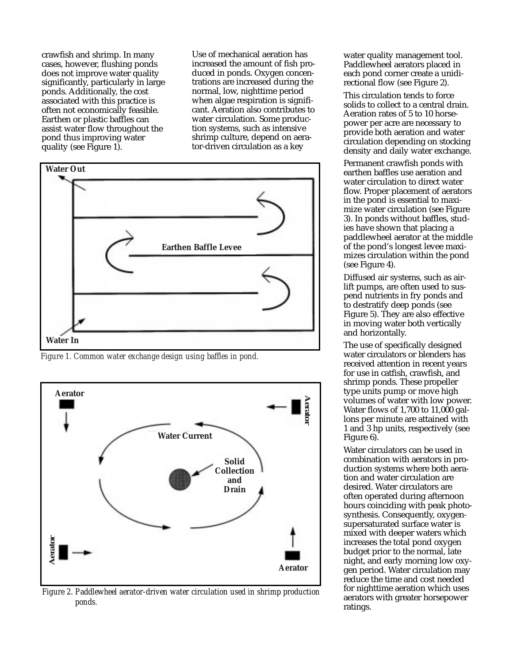crawfish and shrimp. In many cases, however, flushing ponds does not improve water quality significantly, particularly in large ponds. Additionally, the cost associated with this practice is often not economically feasible. Earthen or plastic baffles can assist water flow throughout the pond thus improving water quality (see Figure 1).

Use of mechanical aeration has increased the amount of fish produced in ponds. Oxygen concentrations are increased during the normal, low, nighttime period when algae respiration is significant. Aeration also contributes to water circulation. Some production systems, such as intensive shrimp culture, depend on aerator-driven circulation as a key



*Figure 1. Common water exchange design using baffles in pond.*



*Figure 2. Paddlewheel aerator-driven water circulation used in shrimp production ponds.*

water quality management tool. Paddlewheel aerators placed in each pond corner create a unidirectional flow (see Figure 2).

This circulation tends to force solids to collect to a central drain. Aeration rates of 5 to 10 horsepower per acre are necessary to provide both aeration and water circulation depending on stocking density and daily water exchange.

Permanent crawfish ponds with earthen baffles use aeration and water circulation to direct water flow. Proper placement of aerators in the pond is essential to maximize water circulation (see Figure 3). In ponds without baffles, studies have shown that placing a paddlewheel aerator at the middle of the pond's longest levee maximizes circulation within the pond (see Figure 4).

Diffused air systems, such as airlift pumps, are often used to suspend nutrients in fry ponds and to destratify deep ponds (see Figure 5). They are also effective in moving water both vertically and horizontally.

The use of specifically designed water circulators or blenders has received attention in recent years for use in catfish, crawfish, and shrimp ponds. These propeller type units pump or move high volumes of water with low power. Water flows of 1,700 to 11,000 gallons per minute are attained with 1 and 3 hp units, respectively (see Figure 6).

Water circulators can be used in combination with aerators in production systems where both aeration and water circulation are desired. Water circulators are often operated during afternoon hours coinciding with peak photosynthesis. Consequently, oxygensupersaturated surface water is mixed with deeper waters which increases the total pond oxygen budget prior to the normal, late night, and early morning low oxygen period. Water circulation may reduce the time and cost needed for nighttime aeration which uses aerators with greater horsepower ratings.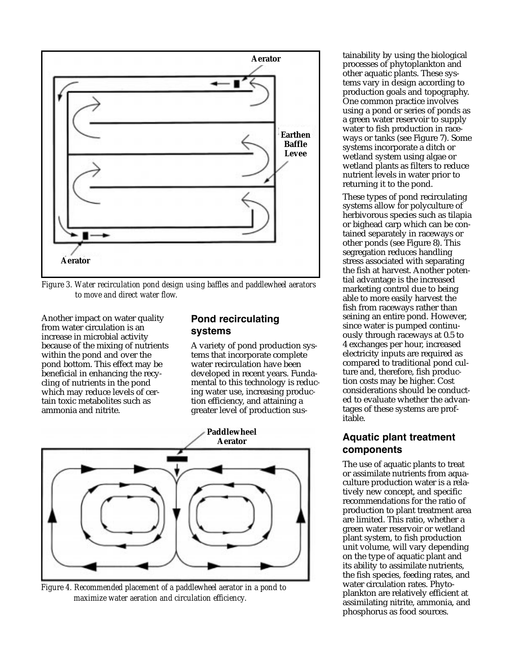

*Figure 3. Water recirculation pond design using baffles and paddlewheel aerators to move and direct water flow.*

Another impact on water quality from water circulation is an increase in microbial activity because of the mixing of nutrients within the pond and over the pond bottom. This effect may be beneficial in enhancing the recycling of nutrients in the pond which may reduce levels of certain toxic metabolites such as ammonia and nitrite.

### **Pond recirculating systems**

A variety of pond production systems that incorporate complete water recirculation have been developed in recent years. Fundamental to this technology is reducing water use, increasing production efficiency, and attaining a greater level of production sus-



*Figure 4. Recommended placement of a paddlewheel aerator in a pond to maximize water aeration and circulation efficiency.*

tainability by using the biological processes of phytoplankton and other aquatic plants. These systems vary in design according to production goals and topography. One common practice involves using a pond or series of ponds as a green water reservoir to supply water to fish production in raceways or tanks (see Figure 7). Some systems incorporate a ditch or wetland system using algae or wetland plants as filters to reduce nutrient levels in water prior to returning it to the pond.

These types of pond recirculating systems allow for polyculture of herbivorous species such as tilapia or bighead carp which can be contained separately in raceways or other ponds (see Figure 8). This segregation reduces handling stress associated with separating the fish at harvest. Another potential advantage is the increased marketing control due to being able to more easily harvest the fish from raceways rather than seining an entire pond. However, since water is pumped continuously through raceways at 0.5 to 4 exchanges per hour, increased electricity inputs are required as compared to traditional pond culture and, therefore, fish production costs may be higher. Cost considerations should be conducted to evaluate whether the advantages of these systems are profitable.

# **Aquatic plant treatment components**

The use of aquatic plants to treat or assimilate nutrients from aquaculture production water is a relatively new concept, and specific recommendations for the ratio of production to plant treatment area are limited. This ratio, whether a green water reservoir or wetland plant system, to fish production unit volume, will vary depending on the type of aquatic plant and its ability to assimilate nutrients, the fish species, feeding rates, and water circulation rates. Phytoplankton are relatively efficient at assimilating nitrite, ammonia, and phosphorus as food sources.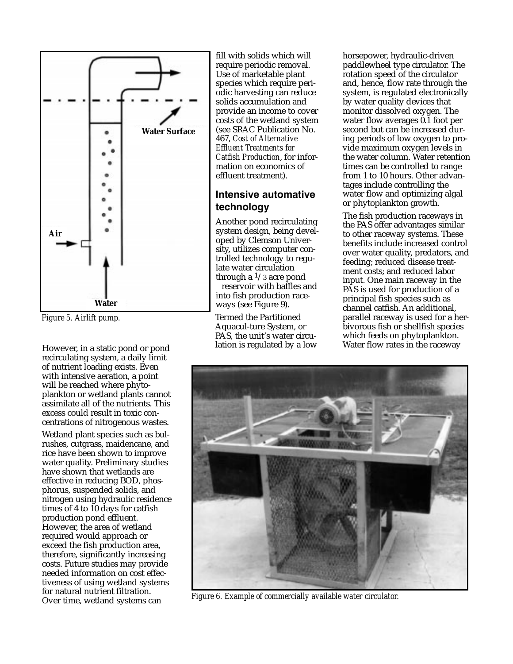

*Figure 5. Airlift pump.*

However, in a static pond or pond recirculating system, a daily limit of nutrient loading exists. Even with intensive aeration, a point will be reached where phytoplankton or wetland plants cannot assimilate all of the nutrients. This excess could result in toxic concentrations of nitrogenous wastes.

Wetland plant species such as bulrushes, cutgrass, maidencane, and rice have been shown to improve water quality. Preliminary studies have shown that wetlands are effective in reducing BOD, phosphorus, suspended solids, and nitrogen using hydraulic residence times of 4 to 10 days for catfish production pond effluent. However, the area of wetland required would approach or exceed the fish production area, therefore, significantly increasing costs. Future studies may provide needed information on cost effectiveness of using wetland systems for natural nutrient filtration. Over time, wetland systems can

fill with solids which will require periodic removal. Use of marketable plant species which require periodic harvesting can reduce solids accumulation and provide an income to cover costs of the wetland system (see SRAC Publication No. 467, *Cost of Alternative Effluent Treatments for Catfish Production*, for information on economics of effluent treatment).

## **Intensive automative technology**

Another pond recirculating system design, being developed by Clemson University, utilizes computer controlled technology to regulate water circulation through a  $\frac{1}{3}$  acre pond reservoir with baffles and into fish production raceways (see Figure 9).

Termed the Partitioned Aquacul-ture System, or PAS, the unit's water circulation is regulated by a low horsepower, hydraulic-driven paddlewheel type circulator. The rotation speed of the circulator and, hence, flow rate through the system, is regulated electronically by water quality devices that monitor dissolved oxygen. The water flow averages 0.1 foot per second but can be increased during periods of low oxygen to provide maximum oxygen levels in the water column. Water retention times can be controlled to range from 1 to 10 hours. Other advantages include controlling the water flow and optimizing algal or phytoplankton growth.

The fish production raceways in the PAS offer advantages similar to other raceway systems. These benefits include increased control over water quality, predators, and feeding; reduced disease treatment costs; and reduced labor input. One main raceway in the PAS is used for production of a principal fish species such as channel catfish. An additional, parallel raceway is used for a herbivorous fish or shellfish species which feeds on phytoplankton. Water flow rates in the raceway



*Figure 6. Example of commercially available water circulator.*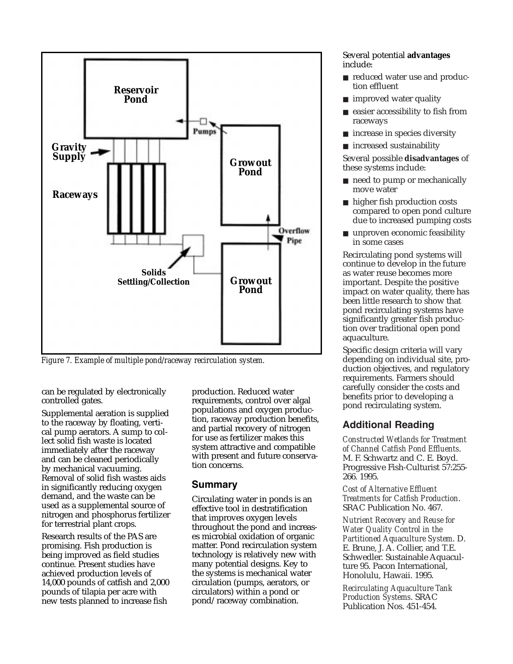

*Figure 7. Example of multiple pond/raceway recirculation system.*

can be regulated by electronically controlled gates.

Supplemental aeration is supplied to the raceway by floating, vertical pump aerators. A sump to collect solid fish waste is located immediately after the raceway and can be cleaned periodically by mechanical vacuuming. Removal of solid fish wastes aids in significantly reducing oxygen demand, and the waste can be used as a supplemental source of nitrogen and phosphorus fertilizer for terrestrial plant crops.

Research results of the PAS are promising. Fish production is being improved as field studies continue. Present studies have achieved production levels of 14,000 pounds of catfish and 2,000 pounds of tilapia per acre with new tests planned to increase fish

production. Reduced water requirements, control over algal populations and oxygen production, raceway production benefits, and partial recovery of nitrogen for use as fertilizer makes this system attractive and compatible with present and future conservation concerns.

#### **Summary**

Circulating water in ponds is an effective tool in destratification that improves oxygen levels throughout the pond and increases microbial oxidation of organic matter. Pond recirculation system technology is relatively new with many potential designs. Key to the systems is mechanical water circulation (pumps, aerators, or circulators) within a pond or pond/raceway combination.

Several potential **advantages** include:

- reduced water use and production effluent
- improved water quality
- easier accessibility to fish from raceways
- increase in species diversity
- increased sustainability

Several possible **disadvantages** of these systems include:

- need to pump or mechanically move water
- higher fish production costs compared to open pond culture due to increased pumping costs
- unproven economic feasibility in some cases

Recirculating pond systems will continue to develop in the future as water reuse becomes more important. Despite the positive impact on water quality, there has been little research to show that pond recirculating systems have significantly greater fish production over traditional open pond aquaculture.

Specific design criteria will vary depending on individual site, production objectives, and regulatory requirements. Farmers should carefully consider the costs and benefits prior to developing a pond recirculating system.

# **Additional Reading**

*Constructed Wetlands for Treatment of Channel Catfish Pond Effluents*. M. F. Schwartz and C. E. Boyd. Progressive Fish-Culturist 57:255- 266. 1995.

*Cost of Alternative Effluent Treatments for Catfish Production*. SRAC Publication No. 467.

*Nutrient Recovery and Reuse for Water Quality Control in the Partitioned Aquaculture System*. D. E. Brune, J. A. Collier, and T.E. Schwedler. Sustainable Aquaculture 95. Pacon International, Honolulu, Hawaii. 1995.

*Recirculating Aquaculture Tank Production Systems*. SRAC Publication Nos. 451-454.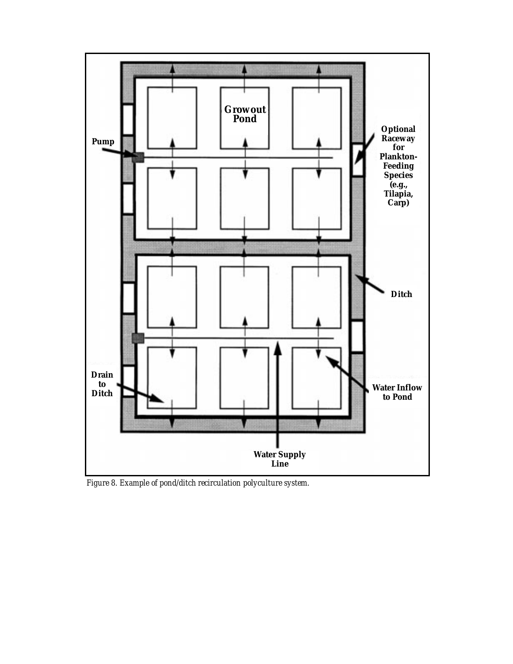

*Figure 8. Example of pond/ditch recirculation polyculture system.*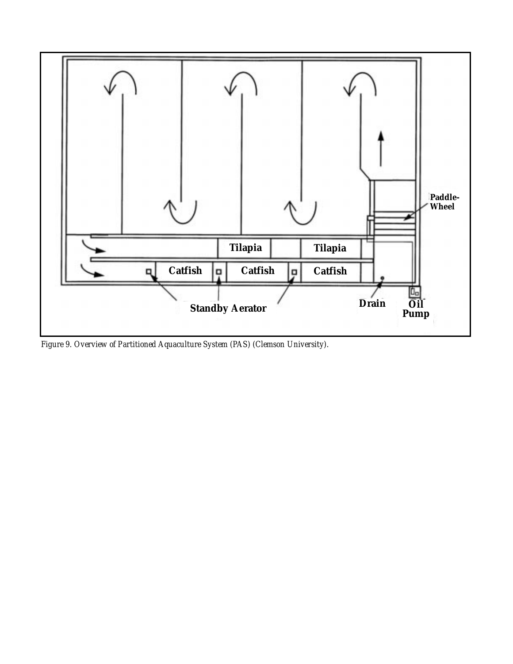

*Figure 9. Overview of Partitioned Aquaculture System (PAS) (Clemson University).*